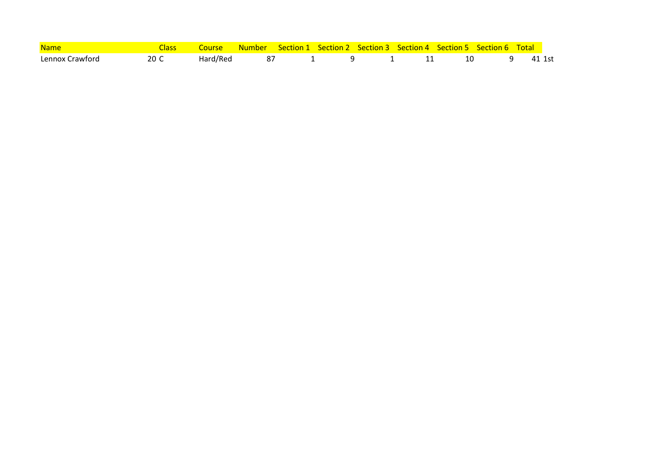| <b>Name</b>     |      |          |    |  | Course Number Section 1 Section 2 Section 3 Section 4 Section 5 Section 6 Total |  |        |
|-----------------|------|----------|----|--|---------------------------------------------------------------------------------|--|--------|
| Lennox Crawford | 20 C | Hard/Red | 87 |  |                                                                                 |  | 41 1st |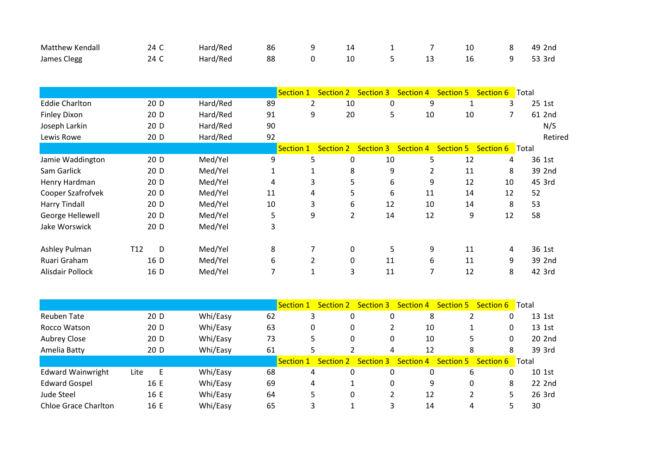| <b>Matthew Kendall</b> | 24 C                 | Hard/Red | 86 | 9                | 14             | 1                | 7                | 10               | 8               | 49 2nd  |
|------------------------|----------------------|----------|----|------------------|----------------|------------------|------------------|------------------|-----------------|---------|
| James Clegg            | 24 C                 | Hard/Red | 88 | 0                | 10             | 5                | 13               | 16               | 9               | 53 3rd  |
|                        |                      |          |    |                  |                |                  |                  |                  |                 |         |
|                        |                      |          |    | Section 1        | Section 2      | <b>Section 3</b> | <b>Section 4</b> | <b>Section 5</b> | Section 6 Total |         |
| <b>Eddie Charlton</b>  | 20 D                 | Hard/Red | 89 | 2                | 10             | 0                | 9                | 1                | 3               | 25 1st  |
| <b>Finley Dixon</b>    | 20 D                 | Hard/Red | 91 | 9                | 20             | 5                | 10               | 10               | $\overline{7}$  | 61 2nd  |
| Joseph Larkin          | 20 D                 | Hard/Red | 90 |                  |                |                  |                  |                  |                 | N/S     |
| Lewis Rowe             | 20 D                 | Hard/Red | 92 |                  |                |                  |                  |                  |                 | Retired |
|                        |                      |          |    | <b>Section 1</b> | Section 2      | <b>Section 3</b> | Section 4        | <b>Section 5</b> | Section 6 Total |         |
| Jamie Waddington       | 20 D                 | Med/Yel  | 9  | 5                | 0              | 10               | 5                | 12               | 4               | 36 1st  |
| Sam Garlick            | 20 D                 | Med/Yel  | 1  |                  | 8              | 9                | 2                | 11               | 8               | 39 2nd  |
| Henry Hardman          | 20 D                 | Med/Yel  | 4  | 3                | 5              | 6                | 9                | 12               | 10              | 45 3rd  |
| Cooper Szafrofvek      | 20 D                 | Med/Yel  | 11 | 4                | 5              | 6                | 11               | 14               | 12              | 52      |
| <b>Harry Tindall</b>   | 20 D                 | Med/Yel  | 10 | 3                | 6              | 12               | 10               | 14               | 8               | 53      |
| George Hellewell       | 20 D                 | Med/Yel  | 5  | 9                | $\overline{2}$ | 14               | 12               | 9                | 12              | 58      |
| Jake Worswick          | 20 D                 | Med/Yel  | 3  |                  |                |                  |                  |                  |                 |         |
| Ashley Pulman          | D<br>T <sub>12</sub> | Med/Yel  | 8  | 7                | 0              | 5                | 9                | 11               | 4               | 36 1st  |
| Ruari Graham           | 16 D                 | Med/Yel  | 6  | 2                | 0              | 11               | 6                | 11               | 9               | 39 2nd  |
| Alisdair Pollock       | 16 D                 | Med/Yel  | 7  | 1                | 3              | 11               | 7                | 12               | 8               | 42 3rd  |

|                             |           |          |    | <b>Section 1</b> | <b>Section 2</b> | <b>Section 3</b> | <b>Section 4</b> | <b>Section 5</b> | Section 6 | ■Total |
|-----------------------------|-----------|----------|----|------------------|------------------|------------------|------------------|------------------|-----------|--------|
| <b>Reuben Tate</b>          | 20 D      | Whi/Easy | 62 | 3                | 0                |                  | 8                |                  | 0         | 13 1st |
| Rocco Watson                | 20 D      | Whi/Easy | 63 | 0                | 0                |                  | 10               |                  | 0         | 13 1st |
| Aubrey Close                | 20 D      | Whi/Easy | 73 | 5                | 0                | 0                | 10               |                  | 0         | 20 2nd |
| Amelia Batty                | 20 D      | Whi/Easy | 61 |                  |                  | 4                | 12               | 8                | 8         | 39 3rd |
|                             |           |          |    | Section 1        | <b>Section 2</b> | <b>Section 3</b> | Section 4        | <b>Section 5</b> | Section 6 | ∎Total |
| <b>Edward Wainwright</b>    | E<br>Lite | Whi/Easy | 68 | 4                | 0                |                  | 0                | 6                | 0         | 10 1st |
| <b>Edward Gospel</b>        | 16 E      | Whi/Easy | 69 | 4                |                  |                  | 9                | 0                | 8         | 22 2nd |
| Jude Steel                  | 16 E      | Whi/Easy | 64 | 5                | 0                |                  | 12               |                  | 5         | 26 3rd |
| <b>Chloe Grace Charlton</b> | 16 E      | Whi/Easy | 65 |                  |                  |                  | 14               |                  |           | 30     |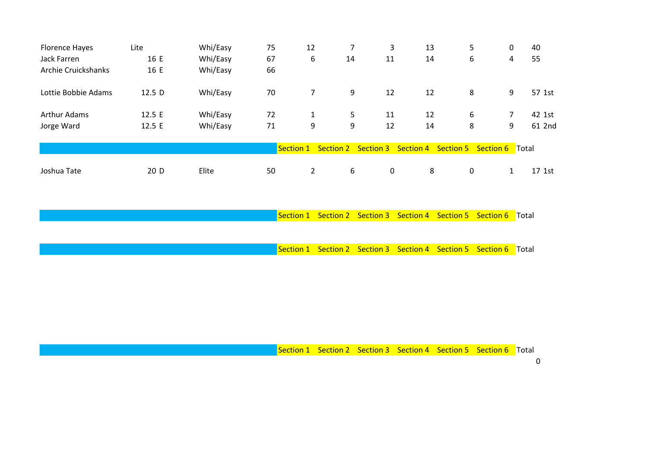| <b>Florence Hayes</b> | Lite              | Whi/Easy | 75 | 12             |                     | 3           | 13               | 5           | 0              | 40                   |
|-----------------------|-------------------|----------|----|----------------|---------------------|-------------|------------------|-------------|----------------|----------------------|
| <b>Jack Farren</b>    | 16 E              | Whi/Easy | 67 | 6              | 14                  | 11          | 14               | 6           | 4              | 55                   |
| Archie Cruickshanks   | 16 E              | Whi/Easy | 66 |                |                     |             |                  |             |                |                      |
| Lottie Bobbie Adams   | 12.5 <sub>D</sub> | Whi/Easy | 70 | 7              | 9                   | 12          | 12               | 8           | 9              | 57 1st               |
| <b>Arthur Adams</b>   | 12.5 E            | Whi/Easy | 72 | 1              | 5                   | 11          | 12               | 6           | $\overline{7}$ | 42 1st               |
| Jorge Ward            | 12.5 E            | Whi/Easy | 71 | 9              | 9                   | 12          | 14               | 8           | 9              | 61 2nd               |
|                       |                   |          |    | Section 1      | Section 2 Section 3 |             | <b>Section 4</b> | Section 5   | Section 6      | <mark>∣</mark> Total |
| Joshua Tate           | 20 D              | Elite    | 50 | $\overline{2}$ | 6                   | $\mathbf 0$ | 8                | $\mathbf 0$ | $\mathbf{1}$   | 17 1st               |

Section 1 Section 2 Section 3 Section 4 Section 5 Section 6 Total

Section 1 Section 2 Section 3 Section 4 Section 5 Section 6 Total

Section 1 Section 2 Section 3 Section 4 Section 5 Section 6 Total

0